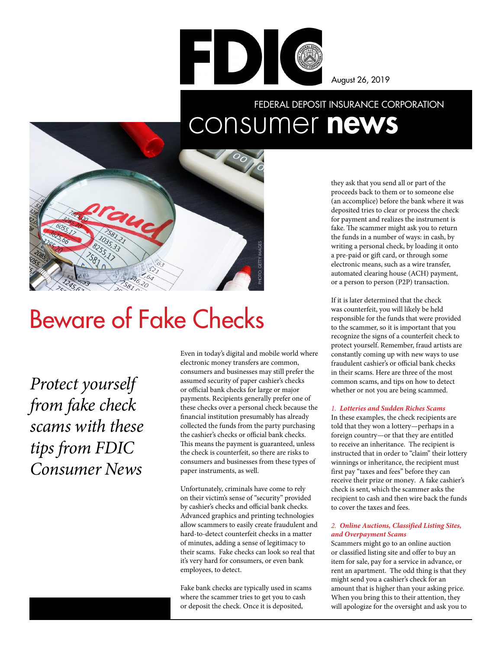

August 26, 2019

### FEDERAL DEPOSIT INSURANCE CORPORATION consumer news



## Beware of Fake Checks

*Protect yourself from fake check scams with these tips from FDIC Consumer News* 

Even in today's digital and mobile world where electronic money transfers are common, consumers and businesses may still prefer the assumed security of paper cashier's checks or official bank checks for large or major payments. Recipients generally prefer one of these checks over a personal check because the fnancial institution presumably has already collected the funds from the party purchasing the cashier's checks or official bank checks. This means the payment is guaranteed, unless the check is counterfeit, so there are risks to consumers and businesses from these types of paper instruments, as well.

Unfortunately, criminals have come to rely on their victim's sense of "security" provided by cashier's checks and official bank checks. Advanced graphics and printing technologies allow scammers to easily create fraudulent and hard-to-detect counterfeit checks in a matter of minutes, adding a sense of legitimacy to their scams. Fake checks can look so real that it's very hard for consumers, or even bank employees, to detect.

Fake bank checks are typically used in scams where the scammer tries to get you to cash or deposit the check. Once it is deposited,

they ask that you send all or part of the proceeds back to them or to someone else (an accomplice) before the bank where it was deposited tries to clear or process the check for payment and realizes the instrument is fake. The scammer might ask you to return the funds in a number of ways: in cash, by writing a personal check, by loading it onto a pre-paid or gift card, or through some electronic means, such as a wire transfer, automated clearing house (ACH) payment, or a person to person (P2P) transaction.

If it is later determined that the check was counterfeit, you will likely be held responsible for the funds that were provided to the scammer, so it is important that you recognize the signs of a counterfeit check to protect yourself. Remember, fraud artists are constantly coming up with new ways to use fraudulent cashier's or official bank checks in their scams. Here are three of the most common scams, and tips on how to detect whether or not you are being scammed.

#### *1. Lotteries and Sudden Riches Scams*

In these examples, the check recipients are told that they won a lottery—perhaps in a foreign country—or that they are entitled to receive an inheritance. The recipient is instructed that in order to "claim" their lottery winnings or inheritance, the recipient must first pay "taxes and fees" before they can receive their prize or money. A fake cashier's check is sent, which the scammer asks the recipient to cash and then wire back the funds to cover the taxes and fees.

#### *2. Online Auctions, Classified Listing Sites, and Overpayment Scams*

Scammers might go to an online auction or classified listing site and offer to buy an item for sale, pay for a service in advance, or rent an apartment. The odd thing is that they might send you a cashier's check for an amount that is higher than your asking price. When you bring this to their attention, they will apologize for the oversight and ask you to